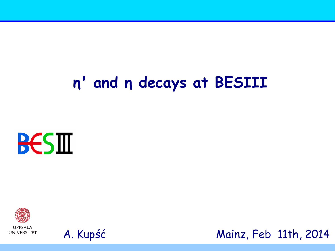# n' and n decays at BESIII







Mainz, Feb 11th, 2014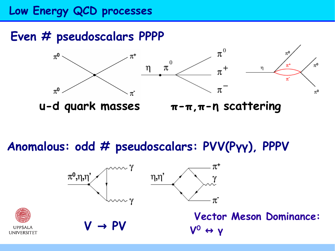## **Low Energy QCD processes**

# **Even # pseudoscalars PPPP**





**u-d quark masses π-π,π-η scattering** 

**Anomalous: odd # pseudoscalars: PVV(Pγγ), PPPV**

 $\pi^*$  $π<sup>0</sup>,η,η'$  $\eta, \eta'$ π



**Vector Meson Dominance:**   $V \rightarrow PV$   $V^0 \leftrightarrow V$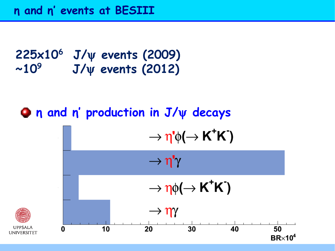#### **225x10<sup>6</sup> J/ events (2009)**  $~10^9$  **J/ events (2012)**

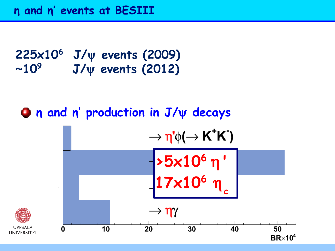#### **225x10<sup>6</sup> J/ events (2009)**  $~10^9$  **J/ events (2012)**

# $η$  n and n' production in J/ $ψ$  decays

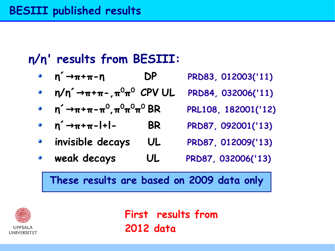# **η/η' results from BESIII:**

- **η´ π+π-η → DP PRD83, 012003('11)**
- $\bullet$  **n/n<sup>** $\cdot$ **</sup>**  $\rightarrow \pi + \pi$  $\pi^{0}\pi^{0}$  **CPV UL <sup>0</sup>CPV UL PRD84, 032006('11)**
- **η´ π+π-π → <sup>0</sup> ,π<sup>0</sup>π 0π <sup>0</sup>BR PRL108, 182001('12)**
- $\bullet$  **n**<sup> $\rightarrow$ </sup> $\pi$ + $\pi$ -l+l- BR PRD87, 092001('13)
- **invisible decays UL PRD87, 012009('13)**  $\mathcal{L}$
- **weak decays UL PRD87, 032006('13)**  $\bullet$

**These results are based on 2009 data only** 



**First results from 2012 data**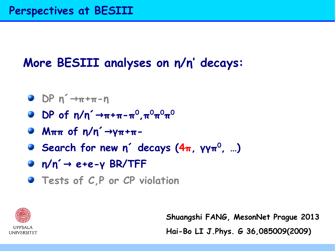# **More BESIII analyses on η/η' decays:**

- $D^p$   $n^2 \rightarrow \pi + \pi n$
- $DP$  of  $η/n^2 → π + π π^0, π^0π^0π^0$
- **Mππ of η/η´→γπ+π-**
- **Search for new η´ decays (4π, γγπ 0 , …)**
- **■**  $n/n'$  → e+e-γ BR/TFF
- **Tests of C.P or CP violation**



**Shuangshi FANG, MesonNet Prague 2013 Hai-Bo LI J.Phys. G 36,085009(2009)**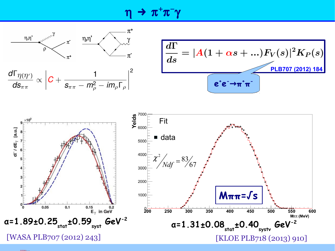$\eta \, \twoheadrightarrow \, \pi^+ \pi^- \gamma$ 





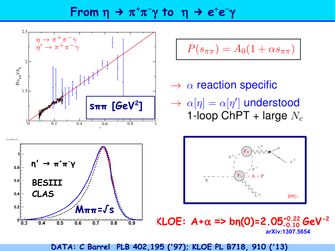## From  $\eta \to \pi^+\pi^-\gamma$  to  $\eta \to e^+e^-\gamma$



**DATA: C Barrel PLB 402,195 ('97); KLOE PL B718, 910 ('13)**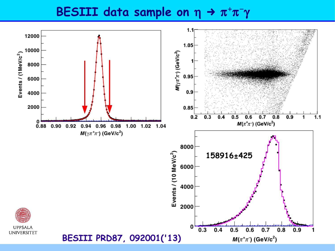### **BESIII data sample on**  $\eta \rightarrow \pi^{+}\pi^{-}\gamma$

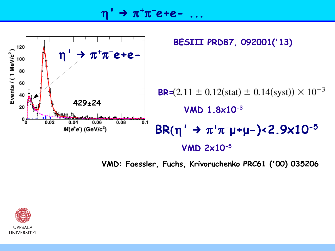$η' → π<sup>+</sup>π<sup>-</sup>$ e+e- ...



**VMD: Faessler, Fuchs, Krivoruchenko PRC61 ('00) 035206**

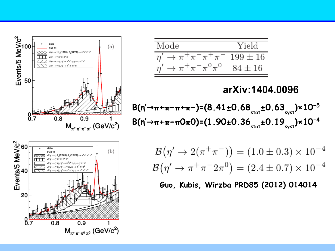$$
\frac{\text{Mode}}{\eta' \to \pi^+\pi^-\pi^+\pi^-} \text{199} \pm 16
$$

$$
\frac{\eta' \to \pi^+\pi^-\pi^0\pi^0}{\eta' \to \pi^+\pi^-\pi^0\pi^0} \text{84} \pm 16
$$

#### **arXiv:1404.0096**

$$
B(n' \rightarrow \pi + \pi - \pi + \pi -) = (8.41 \pm 0.68_{\text{stat}} \pm 0.63_{\text{syst}}) \times 10^{-5}
$$
  

$$
B(n' \rightarrow \pi + \pi - \pi 0 \pi 0) = (1.90 \pm 0.36_{\text{stat}} \pm 0.19_{\text{syst}}) \times 10^{-4}
$$

$$
\mathcal{B}(\eta' \to 2(\pi^+\pi^-)) = (1.0 \pm 0.3) \times 10^{-4}
$$
  

$$
\mathcal{B}(\eta' \to \pi^+\pi^-2\pi^0) = (2.4 \pm 0.7) \times 10^{-4}
$$

**Guo, Kubis, Wirzba PRD85 (2012) 014014**



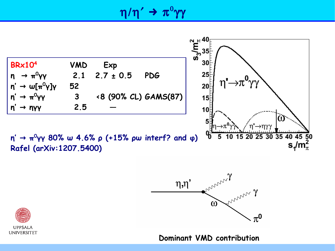$\eta/\eta\text{ ' }\rightarrow\text{ π}^{0}\gamma\gamma$ 







**Dominant VMD contribution**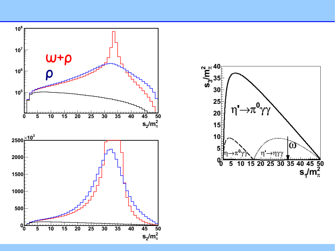

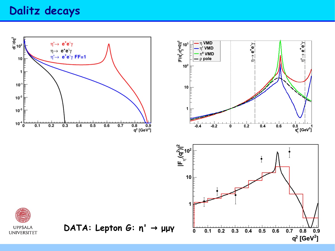### Dalitz decays

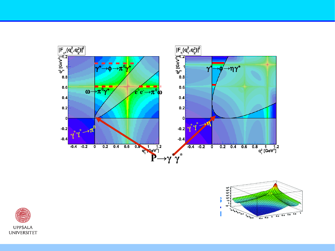



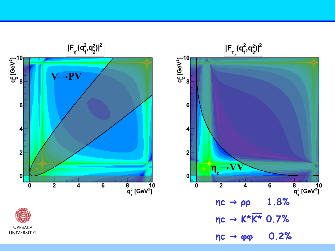